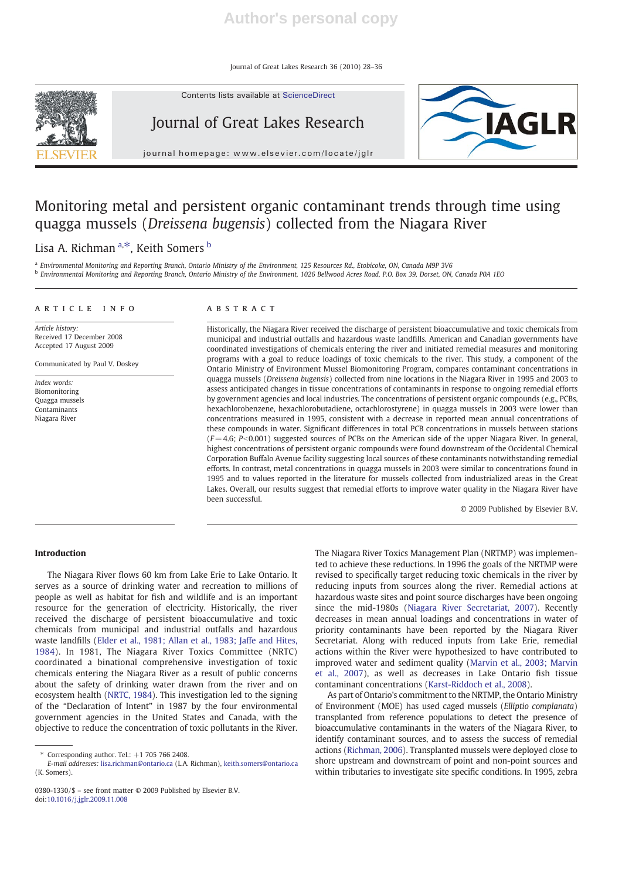Journal of Great Lakes Research 36 (2010) 28–36

Contents lists available at ScienceDirect



Journal of Great Lakes Research



# journal homepage: www.elsevier.com/locate/jglr

# Monitoring metal and persistent organic contaminant trends through time using quagga mussels (Dreissena bugensis) collected from the Niagara River

# Lisa A. Richman <sup>a,\*</sup>, Keith Somers <sup>b</sup>

a Environmental Monitoring and Reporting Branch, Ontario Ministry of the Environment, 125 Resources Rd., Etobicoke, ON, Canada M9P 3V6 <sup>b</sup> Environmental Monitoring and Reporting Branch, Ontario Ministry of the Environment, 1026 Bellwood Acres Road, P.O. Box 39, Dorset, ON, Canada P0A 1EO

### article info abstract

Article history: Received 17 December 2008 Accepted 17 August 2009

Communicated by Paul V. Doskey

Index words: Biomonitoring Quagga mussels **Contaminants** Niagara River

Historically, the Niagara River received the discharge of persistent bioaccumulative and toxic chemicals from municipal and industrial outfalls and hazardous waste landfills. American and Canadian governments have coordinated investigations of chemicals entering the river and initiated remedial measures and monitoring programs with a goal to reduce loadings of toxic chemicals to the river. This study, a component of the Ontario Ministry of Environment Mussel Biomonitoring Program, compares contaminant concentrations in quagga mussels (Dreissena bugensis) collected from nine locations in the Niagara River in 1995 and 2003 to assess anticipated changes in tissue concentrations of contaminants in response to ongoing remedial efforts by government agencies and local industries. The concentrations of persistent organic compounds (e.g., PCBs, hexachlorobenzene, hexachlorobutadiene, octachlorostyrene) in quagga mussels in 2003 were lower than concentrations measured in 1995, consistent with a decrease in reported mean annual concentrations of these compounds in water. Significant differences in total PCB concentrations in mussels between stations  $(F=4.6; P<0.001)$  suggested sources of PCBs on the American side of the upper Niagara River. In general, highest concentrations of persistent organic compounds were found downstream of the Occidental Chemical Corporation Buffalo Avenue facility suggesting local sources of these contaminants notwithstanding remedial efforts. In contrast, metal concentrations in quagga mussels in 2003 were similar to concentrations found in 1995 and to values reported in the literature for mussels collected from industrialized areas in the Great Lakes. Overall, our results suggest that remedial efforts to improve water quality in the Niagara River have been successful.

© 2009 Published by Elsevier B.V.

# Introduction

The Niagara River flows 60 km from Lake Erie to Lake Ontario. It serves as a source of drinking water and recreation to millions of people as well as habitat for fish and wildlife and is an important resource for the generation of electricity. Historically, the river received the discharge of persistent bioaccumulative and toxic chemicals from municipal and industrial outfalls and hazardous waste landfills (Elder et al., 1981; Allan et al., 1983; Jaffe and Hites, 1984). In 1981, The Niagara River Toxics Committee (NRTC) coordinated a binational comprehensive investigation of toxic chemicals entering the Niagara River as a result of public concerns about the safety of drinking water drawn from the river and on ecosystem health (NRTC, 1984). This investigation led to the signing of the "Declaration of Intent" in 1987 by the four environmental government agencies in the United States and Canada, with the objective to reduce the concentration of toxic pollutants in the River.

The Niagara River Toxics Management Plan (NRTMP) was implemented to achieve these reductions. In 1996 the goals of the NRTMP were revised to specifically target reducing toxic chemicals in the river by reducing inputs from sources along the river. Remedial actions at hazardous waste sites and point source discharges have been ongoing since the mid-1980s (Niagara River Secretariat, 2007). Recently decreases in mean annual loadings and concentrations in water of priority contaminants have been reported by the Niagara River Secretariat. Along with reduced inputs from Lake Erie, remedial actions within the River were hypothesized to have contributed to improved water and sediment quality (Marvin et al., 2003; Marvin et al., 2007), as well as decreases in Lake Ontario fish tissue contaminant concentrations (Karst-Riddoch et al., 2008).

As part of Ontario's commitment to the NRTMP, the Ontario Ministry of Environment (MOE) has used caged mussels (Elliptio complanata) transplanted from reference populations to detect the presence of bioaccumulative contaminants in the waters of the Niagara River, to identify contaminant sources, and to assess the success of remedial actions (Richman, 2006). Transplanted mussels were deployed close to shore upstream and downstream of point and non-point sources and within tributaries to investigate site specific conditions. In 1995, zebra

 $*$  Corresponding author. Tel.:  $+1$  705 766 2408.

E-mail addresses: lisa.richman@ontario.ca (L.A. Richman), keith.somers@ontario.ca (K. Somers).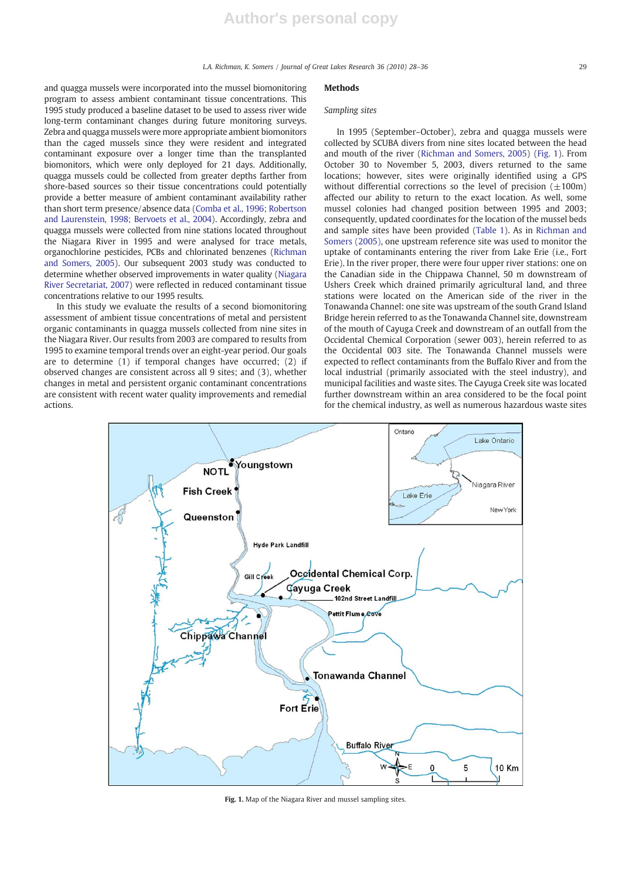### L.A. Richman, K. Somers / Journal of Great Lakes Research 36 (2010) 28–36 29

and quagga mussels were incorporated into the mussel biomonitoring program to assess ambient contaminant tissue concentrations. This 1995 study produced a baseline dataset to be used to assess river wide long-term contaminant changes during future monitoring surveys. Zebra and quagga mussels were more appropriate ambient biomonitors than the caged mussels since they were resident and integrated contaminant exposure over a longer time than the transplanted biomonitors, which were only deployed for 21 days. Additionally, quagga mussels could be collected from greater depths farther from shore-based sources so their tissue concentrations could potentially provide a better measure of ambient contaminant availability rather than short term presence/absence data (Comba et al., 1996; Robertson and Laurenstein, 1998; Bervoets et al., 2004). Accordingly, zebra and quagga mussels were collected from nine stations located throughout the Niagara River in 1995 and were analysed for trace metals, organochlorine pesticides, PCBs and chlorinated benzenes (Richman and Somers, 2005). Our subsequent 2003 study was conducted to determine whether observed improvements in water quality (Niagara River Secretariat, 2007) were reflected in reduced contaminant tissue concentrations relative to our 1995 results.

In this study we evaluate the results of a second biomonitoring assessment of ambient tissue concentrations of metal and persistent organic contaminants in quagga mussels collected from nine sites in the Niagara River. Our results from 2003 are compared to results from 1995 to examine temporal trends over an eight-year period. Our goals are to determine (1) if temporal changes have occurred; (2) if observed changes are consistent across all 9 sites; and (3), whether changes in metal and persistent organic contaminant concentrations are consistent with recent water quality improvements and remedial actions.

### Methods

### Sampling sites

In 1995 (September–October), zebra and quagga mussels were collected by SCUBA divers from nine sites located between the head and mouth of the river (Richman and Somers, 2005) (Fig. 1). From October 30 to November 5, 2003, divers returned to the same locations; however, sites were originally identified using a GPS without differential corrections so the level of precision  $(\pm 100m)$ affected our ability to return to the exact location. As well, some mussel colonies had changed position between 1995 and 2003; consequently, updated coordinates for the location of the mussel beds and sample sites have been provided (Table 1). As in Richman and Somers (2005), one upstream reference site was used to monitor the uptake of contaminants entering the river from Lake Erie (i.e., Fort Erie). In the river proper, there were four upper river stations: one on the Canadian side in the Chippawa Channel, 50 m downstream of Ushers Creek which drained primarily agricultural land, and three stations were located on the American side of the river in the Tonawanda Channel: one site was upstream of the south Grand Island Bridge herein referred to as the Tonawanda Channel site, downstream of the mouth of Cayuga Creek and downstream of an outfall from the Occidental Chemical Corporation (sewer 003), herein referred to as the Occidental 003 site. The Tonawanda Channel mussels were expected to reflect contaminants from the Buffalo River and from the local industrial (primarily associated with the steel industry), and municipal facilities and waste sites. The Cayuga Creek site was located further downstream within an area considered to be the focal point for the chemical industry, as well as numerous hazardous waste sites



Fig. 1. Map of the Niagara River and mussel sampling sites.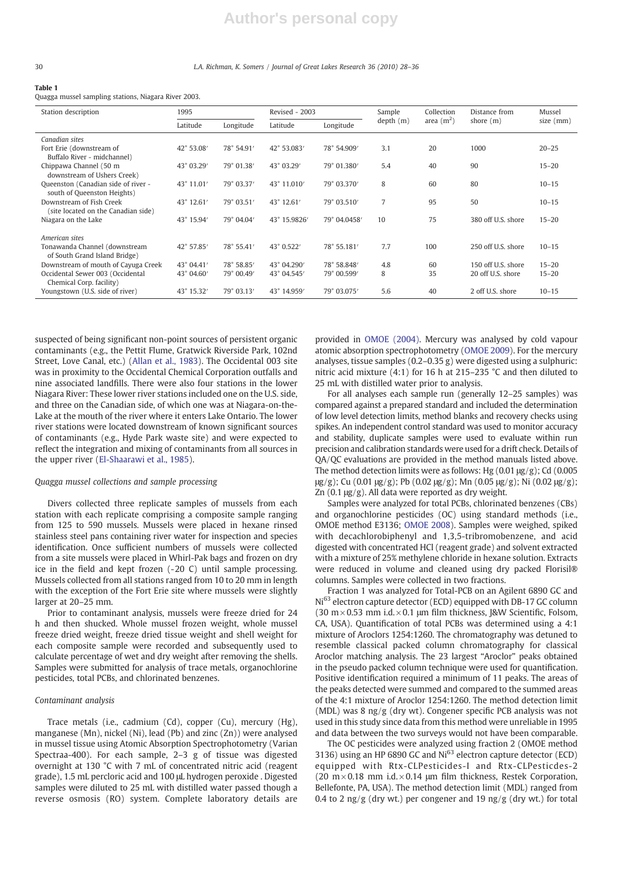#### 30 L.A. Richman, K. Somers / Journal of Great Lakes Research 36 (2010) 28–36

### Table 1

Quagga mussel sampling stations, Niagara River 2003.

| Station description                                     | 1995                |            | Revised - 2003      |              | Sample         | Collection  | Distance from      | Mussel<br>size (mm) |  |
|---------------------------------------------------------|---------------------|------------|---------------------|--------------|----------------|-------------|--------------------|---------------------|--|
|                                                         | Latitude            | Longitude  | Latitude            | Longitude    | depth(m)       | area $(m2)$ | shore $(m)$        |                     |  |
| Canadian sites                                          |                     |            |                     |              |                |             |                    |                     |  |
| Fort Erie (downstream of                                | 42° 53.08'          | 78° 54.91' | 42° 53.083'         | 78° 54.909'  | 3.1            | 20          | 1000               | $20 - 25$           |  |
| Buffalo River - midchannel)                             |                     |            |                     |              |                |             |                    |                     |  |
| Chippawa Channel (50 m                                  | 43° 03.29'          | 79° 01.38' | 43° 03.29'          | 79° 01.380'  | 5.4            | 40          | 90                 | $15 - 20$           |  |
| downstream of Ushers Creek)                             |                     |            |                     |              |                |             |                    |                     |  |
| Queenston (Canadian side of river -                     | 43° 11.01'          | 79° 03.37' | 43° 11.010'         | 79° 03.370'  | 8              | 60          | 80                 | $10 - 15$           |  |
| south of Queenston Heights)<br>Downstream of Fish Creek |                     |            |                     |              | $\overline{7}$ | 95          | 50                 |                     |  |
| (site located on the Canadian side)                     | $43^{\circ}$ 12.61' | 79° 03.51' | $43^{\circ}$ 12.61' | 79° 03.510'  |                |             |                    | $10 - 15$           |  |
| Niagara on the Lake                                     | 43° 15.94'          | 79° 04.04' | 43° 15.9826'        | 79° 04.0458' | 10             | 75          | 380 off U.S. shore | $15 - 20$           |  |
|                                                         |                     |            |                     |              |                |             |                    |                     |  |
| American sites                                          |                     |            |                     |              |                |             |                    |                     |  |
| Tonawanda Channel (downstream                           | 42° 57.85'          | 78° 55.41' | 43° 0.522'          | 78° 55.181'  | 7.7            | 100         | 250 off U.S. shore | $10 - 15$           |  |
| of South Grand Island Bridge)                           |                     |            |                     |              |                |             |                    |                     |  |
| Downstream of mouth of Cayuga Creek                     | $43^{\circ}$ 04.41' | 78° 58.85' | 43° 04.290'         | 78° 58.848'  | 4.8            | 60          | 150 off U.S. shore | $15 - 20$           |  |
| Occidental Sewer 003 (Occidental                        | 43° 04.60'          | 79° 00.49' | 43° 04.545'         | 79° 00.599'  | 8              | 35          | 20 off U.S. shore  | $15 - 20$           |  |
| Chemical Corp. facility)                                |                     |            |                     |              |                |             |                    |                     |  |
| Youngstown (U.S. side of river)                         | 43° 15.32'          | 79° 03.13' | 43° 14.959'         | 79° 03.075'  | 5.6            | 40          | 2 off U.S. shore   | $10 - 15$           |  |

suspected of being significant non-point sources of persistent organic contaminants (e.g., the Pettit Flume, Gratwick Riverside Park, 102nd Street, Love Canal, etc.) (Allan et al., 1983). The Occidental 003 site was in proximity to the Occidental Chemical Corporation outfalls and nine associated landfills. There were also four stations in the lower Niagara River: These lower river stations included one on the U.S. side, and three on the Canadian side, of which one was at Niagara-on-the-Lake at the mouth of the river where it enters Lake Ontario. The lower river stations were located downstream of known significant sources of contaminants (e.g., Hyde Park waste site) and were expected to reflect the integration and mixing of contaminants from all sources in the upper river (El-Shaarawi et al., 1985).

### Quagga mussel collections and sample processing

Divers collected three replicate samples of mussels from each station with each replicate comprising a composite sample ranging from 125 to 590 mussels. Mussels were placed in hexane rinsed stainless steel pans containing river water for inspection and species identification. Once sufficient numbers of mussels were collected from a site mussels were placed in Whirl-Pak bags and frozen on dry ice in the field and kept frozen (-20 C) until sample processing. Mussels collected from all stations ranged from 10 to 20 mm in length with the exception of the Fort Erie site where mussels were slightly larger at 20–25 mm.

Prior to contaminant analysis, mussels were freeze dried for 24 h and then shucked. Whole mussel frozen weight, whole mussel freeze dried weight, freeze dried tissue weight and shell weight for each composite sample were recorded and subsequently used to calculate percentage of wet and dry weight after removing the shells. Samples were submitted for analysis of trace metals, organochlorine pesticides, total PCBs, and chlorinated benzenes.

## Contaminant analysis

Trace metals (i.e., cadmium (Cd), copper (Cu), mercury (Hg), manganese (Mn), nickel (Ni), lead (Pb) and zinc (Zn)) were analysed in mussel tissue using Atomic Absorption Spectrophotometry (Varian Spectraa-400). For each sample, 2–3 g of tissue was digested overnight at 130 °C with 7 mL of concentrated nitric acid (reagent grade), 1.5 mL percloric acid and 100 μL hydrogen peroxide . Digested samples were diluted to 25 mL with distilled water passed though a reverse osmosis (RO) system. Complete laboratory details are

provided in OMOE (2004). Mercury was analysed by cold vapour atomic absorption spectrophotometry (OMOE 2009). For the mercury analyses, tissue samples (0.2–0.35 g) were digested using a sulphuric: nitric acid mixture (4:1) for 16 h at 215–235 °C and then diluted to 25 mL with distilled water prior to analysis.

For all analyses each sample run (generally 12–25 samples) was compared against a prepared standard and included the determination of low level detection limits, method blanks and recovery checks using spikes. An independent control standard was used to monitor accuracy and stability, duplicate samples were used to evaluate within run precision and calibration standards were used for a drift check. Details of QA/QC evaluations are provided in the method manuals listed above. The method detection limits were as follows: Hg  $(0.01 \mu g/g)$ ; Cd  $(0.005$ μg/g); Cu (0.01 μg/g); Pb (0.02 μg/g); Mn (0.05 μg/g); Ni (0.02 μg/g); Zn (0.1 μg/g). All data were reported as dry weight.

Samples were analyzed for total PCBs, chlorinated benzenes (CBs) and organochlorine pesticides (OC) using standard methods (i.e., OMOE method E3136; OMOE 2008). Samples were weighed, spiked with decachlorobiphenyl and 1,3,5-tribromobenzene, and acid digested with concentrated HCl (reagent grade) and solvent extracted with a mixture of 25% methylene chloride in hexane solution. Extracts were reduced in volume and cleaned using dry packed Florisil® columns. Samples were collected in two fractions.

Fraction 1 was analyzed for Total-PCB on an Agilent 6890 GC and Ni<sup>63</sup> electron capture detector (ECD) equipped with DB-17 GC column (30 m $\times$ 0.53 mm i.d. $\times$ 0.1 µm film thickness, J&W Scientific, Folsom, CA, USA). Quantification of total PCBs was determined using a 4:1 mixture of Aroclors 1254:1260. The chromatography was detuned to resemble classical packed column chromatography for classical Aroclor matching analysis. The 23 largest "Aroclor" peaks obtained in the pseudo packed column technique were used for quantification. Positive identification required a minimum of 11 peaks. The areas of the peaks detected were summed and compared to the summed areas of the 4:1 mixture of Aroclor 1254:1260. The method detection limit (MDL) was 8 ng/g (dry wt). Congener specific PCB analysis was not used in this study since data from this method were unreliable in 1995 and data between the two surveys would not have been comparable.

The OC pesticides were analyzed using fraction 2 (OMOE method 3136) using an HP 6890 GC and Ni<sup>63</sup> electron capture detector (ECD) equipped with Rtx-CLPesticides-I and Rtx-CLPesticdes-2 (20 m $\times$ 0.18 mm i.d. $\times$ 0.14 µm film thickness, Restek Corporation, Bellefonte, PA, USA). The method detection limit (MDL) ranged from 0.4 to 2 ng/g (dry wt.) per congener and 19 ng/g (dry wt.) for total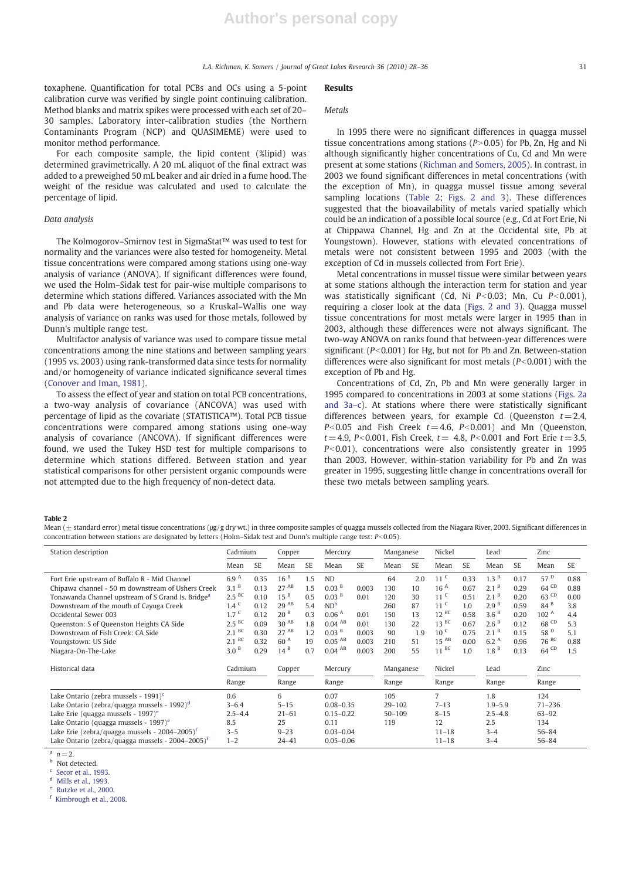toxaphene. Quantification for total PCBs and OCs using a 5-point calibration curve was verified by single point continuing calibration. Method blanks and matrix spikes were processed with each set of 20– 30 samples. Laboratory inter-calibration studies (the Northern Contaminants Program (NCP) and QUASIMEME) were used to monitor method performance.

For each composite sample, the lipid content (%lipid) was determined gravimetrically. A 20 mL aliquot of the final extract was added to a preweighed 50 mL beaker and air dried in a fume hood. The weight of the residue was calculated and used to calculate the percentage of lipid.

### Data analysis

The Kolmogorov–Smirnov test in SigmaStat™ was used to test for normality and the variances were also tested for homogeneity. Metal tissue concentrations were compared among stations using one-way analysis of variance (ANOVA). If significant differences were found, we used the Holm–Sidak test for pair-wise multiple comparisons to determine which stations differed. Variances associated with the Mn and Pb data were heterogeneous, so a Kruskal–Wallis one way analysis of variance on ranks was used for those metals, followed by Dunn's multiple range test.

Multifactor analysis of variance was used to compare tissue metal concentrations among the nine stations and between sampling years (1995 vs. 2003) using rank-transformed data since tests for normality and/or homogeneity of variance indicated significance several times (Conover and Iman, 1981).

To assess the effect of year and station on total PCB concentrations, a two-way analysis of covariance (ANCOVA) was used with percentage of lipid as the covariate (STATISTICA™). Total PCB tissue concentrations were compared among stations using one-way analysis of covariance (ANCOVA). If significant differences were found, we used the Tukey HSD test for multiple comparisons to determine which stations differed. Between station and year statistical comparisons for other persistent organic compounds were not attempted due to the high frequency of non-detect data.

## Results

### Metals

In 1995 there were no significant differences in quagga mussel tissue concentrations among stations ( $P > 0.05$ ) for Pb, Zn, Hg and Ni although significantly higher concentrations of Cu, Cd and Mn were present at some stations (Richman and Somers, 2005). In contrast, in 2003 we found significant differences in metal concentrations (with the exception of Mn), in quagga mussel tissue among several sampling locations (Table 2; Figs. 2 and 3). These differences suggested that the bioavailability of metals varied spatially which could be an indication of a possible local source (e.g., Cd at Fort Erie, Ni at Chippawa Channel, Hg and Zn at the Occidental site, Pb at Youngstown). However, stations with elevated concentrations of metals were not consistent between 1995 and 2003 (with the exception of Cd in mussels collected from Fort Erie).

Metal concentrations in mussel tissue were similar between years at some stations although the interaction term for station and year was statistically significant (Cd, Ni  $P<0.03$ ; Mn, Cu  $P<0.001$ ), requiring a closer look at the data (Figs. 2 and 3). Quagga mussel tissue concentrations for most metals were larger in 1995 than in 2003, although these differences were not always significant. The two-way ANOVA on ranks found that between-year differences were significant ( $P<0.001$ ) for Hg, but not for Pb and Zn. Between-station differences were also significant for most metals  $(P<0.001)$  with the exception of Pb and Hg.

Concentrations of Cd, Zn, Pb and Mn were generally larger in 1995 compared to concentrations in 2003 at some stations (Figs. 2a and 3a–c). At stations where there were statistically significant differences between years, for example Cd (Queenston  $t = 2.4$ ,  $P<0.05$  and Fish Creek  $t= 4.6$ ,  $P<0.001$ ) and Mn (Queenston,  $t = 4.9$ , P<0.001, Fish Creek,  $t = 4.8$ , P<0.001 and Fort Erie  $t = 3.5$ ,  $P<0.01$ ), concentrations were also consistently greater in 1995 than 2003. However, within-station variability for Pb and Zn was greater in 1995, suggesting little change in concentrations overall for these two metals between sampling years.

Table 2

Mean ( $\pm$  standard error) metal tissue concentrations (µg/g dry wt.) in three composite samples of quagga mussels collected from the Niagara River, 2003. Significant differences in concentration between stations are designated by letters (Holm–Sidak test and Dunn's multiple range test:  $P < 0.05$ ).

| Station description                                           |                  | Cadmium     | Copper           |           | Mercury              |               | Manganese  |     | Nickel          |           | Lead             |         | Zinc               |           |  |
|---------------------------------------------------------------|------------------|-------------|------------------|-----------|----------------------|---------------|------------|-----|-----------------|-----------|------------------|---------|--------------------|-----------|--|
|                                                               | Mean             | <b>SE</b>   | Mean             | <b>SE</b> | Mean                 | <b>SE</b>     | Mean       | SE. | Mean            | SE.       | Mean             | SE.     | Mean               | SE.       |  |
| Fort Erie upstream of Buffalo R - Mid Channel                 | 6.9 <sup>A</sup> | 0.35        | 16 <sup>B</sup>  | 1.5       | <b>ND</b>            |               | 64         | 2.0 | 11 <sup>C</sup> | 0.33      | 1.3 <sup>B</sup> | 0.17    | 57 <sup>D</sup>    | 0.88      |  |
| Chipawa channel - 50 m downstream of Ushers Creek             | 3.1 <sup>B</sup> | 0.13        | $27^{AB}$        | 1.5       | 0.03 <sup>B</sup>    | 0.003         | 130        | 10  | 16 <sup>A</sup> | 0.67      | 2.1 <sup>B</sup> | 0.29    | $64$ <sup>CD</sup> | 0.88      |  |
| Tonawanda Channel upstream of S Grand Is. Bridge <sup>a</sup> | $2.5$ BC         | 0.10        | 15 <sup>B</sup>  | 0.5       | 0.03 <sup>B</sup>    | 0.01          | 120        | 30  | 11 <sup>C</sup> | 0.51      | 2.1 <sup>B</sup> | 0.20    | $63$ <sup>CD</sup> | 0.00      |  |
| Downstream of the mouth of Cayuga Creek                       | 1.4 <sup>C</sup> | 0.12        | 29 <sup>AB</sup> | 5.4       | ND <sup>b</sup>      |               | 260        | 87  | 11 <sup>C</sup> | 1.0       | 2.9 <sup>B</sup> | 0.59    | 84 <sup>B</sup>    | 3.8       |  |
| Occidental Sewer 003                                          | 1.7 <sup>C</sup> | 0.12        | 20 <sup>B</sup>  | 0.3       | 0.06 <sup>A</sup>    | 0.01          | 150        | 13  | $12^{BC}$       | 0.58      | 3.6 <sup>B</sup> | 0.20    | 102 <sup>A</sup>   | 4.4       |  |
| Queenston: S of Queenston Heights CA Side                     | $2.5$ BC         | 0.09        | $30^{AB}$        | 1.8       | 0.04 <sup>AB</sup>   | 0.01          | 130        | 22  | $13^{BC}$       | 0.67      | 2.6 <sup>B</sup> | 0.12    | 68 <sup>CD</sup>   | 5.3       |  |
| Downstream of Fish Creek: CA Side                             | BC<br>2.1        | 0.30        | $27^{AB}$        | 1.2       | 0.03 <sup>B</sup>    | 0.003         | 90         | 1.9 | 10 <sup>C</sup> | 0.75      | 2.1 <sup>B</sup> | 0.15    | 58 <sup>D</sup>    | 5.1       |  |
| Youngstown: US Side                                           | BC<br>2.1        | 0.32        | 60 <sup>A</sup>  | 19        | $0.05$ <sup>AB</sup> | 0.003         | 210        | 51  | $15^{AB}$       | 0.00      | 6.2 <sup>A</sup> | 0.96    | $76^{BC}$          | 0.88      |  |
| Niagara-On-The-Lake                                           | 3.0 <sup>B</sup> | 0.29        | 14 <sup>B</sup>  | 0.7       | 0.04 <sup>AB</sup>   | 0.003         | 200        | 55  | BC<br>11        | 1.0       | 1.8 <sup>B</sup> | 0.13    | $64$ <sup>CD</sup> | 1.5       |  |
| Historical data                                               | Cadmium          |             | Copper           |           | Mercury              |               | Manganese  |     | Nickel          |           | Lead             |         | Zinc               |           |  |
|                                                               |                  |             | Range            |           | Range                |               | Range      |     | Range           |           | Range            |         | Range              |           |  |
| Lake Ontario (zebra mussels - 1991) $\text{c}$                |                  |             | 6                |           | 0.07                 |               | 105        |     | 7               |           | 1.8              |         | 124                |           |  |
| Lake Ontario (zebra/quagga mussels - 1992) <sup>d</sup>       |                  | $3 - 6.4$   |                  | $5 - 15$  |                      | $0.08 - 0.35$ | $29 - 102$ |     | $7 - 13$        |           | $1.9 - 5.9$      |         | $71 - 236$         |           |  |
| Lake Erie (quagga mussels - 1997) <sup>e</sup>                |                  | $2.5 - 4.4$ | $21 - 61$        |           | $0.15 - 0.22$        |               | $50 - 109$ |     | $8 - 15$        |           | $2.5 - 4.8$      |         | $63 - 92$          |           |  |
| Lake Ontario (quagga mussels - 1997) <sup>e</sup>             |                  |             | 25               |           | 0.11                 |               | 119        |     | 12              |           | 2.5              |         | 134                |           |  |
| Lake Erie (zebra/quagga mussels - 2004–2005) <sup>t</sup>     |                  | $3 - 5$     |                  | $9 - 23$  |                      | $0.03 - 0.04$ |            |     |                 | $11 - 18$ |                  | $3 - 4$ |                    | $56 - 84$ |  |
| Lake Ontario (zebra/quagga mussels - 2004–2005) <sup>†</sup>  |                  |             | $24 - 41$        |           | $0.05 - 0.06$        |               |            |     | $11 - 18$       |           | $3 - 4$          |         | 56-84              |           |  |

a  $n=2$ 

Not detected.

Secor et al., 1993.

Mills et al., 1993.

Rutzke et al., 2000.

<sup>f</sup> Kimbrough et al., 2008.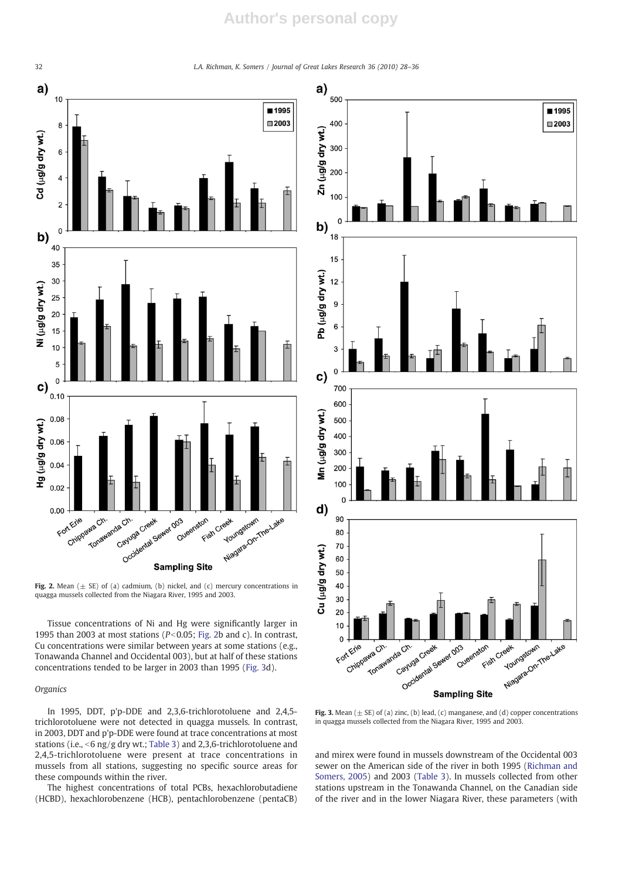32 L.A. Richman, K. Somers / Journal of Great Lakes Research 36 (2010) 28–36



Fig. 2. Mean ( $\pm$  SE) of (a) cadmium, (b) nickel, and (c) mercury concentrations in quagga mussels collected from the Niagara River, 1995 and 2003.

Tissue concentrations of Ni and Hg were significantly larger in 1995 than 2003 at most stations ( $P<$ 0.05; Fig. 2b and c). In contrast, Cu concentrations were similar between years at some stations (e.g., Tonawanda Channel and Occidental 003), but at half of these stations concentrations tended to be larger in 2003 than 1995 (Fig. 3d).

### Organics

In 1995, DDT, p'p-DDE and 2,3,6-trichlorotoluene and 2,4,5 trichlorotoluene were not detected in quagga mussels. In contrast, in 2003, DDT and p'p-DDE were found at trace concentrations at most stations (i.e.,  $\leq$ 6 ng/g dry wt.; Table 3) and 2,3,6-trichlorotoluene and 2,4,5-trichlorotoluene were present at trace concentrations in mussels from all stations, suggesting no specific source areas for these compounds within the river.

The highest concentrations of total PCBs, hexachlorobutadiene (HCBD), hexachlorobenzene (HCB), pentachlorobenzene (pentaCB)



Fig. 3. Mean ( $\pm$  SE) of (a) zinc, (b) lead, (c) manganese, and (d) copper concentrations in quagga mussels collected from the Niagara River, 1995 and 2003.

and mirex were found in mussels downstream of the Occidental 003 sewer on the American side of the river in both 1995 (Richman and Somers, 2005) and 2003 (Table 3). In mussels collected from other stations upstream in the Tonawanda Channel, on the Canadian side of the river and in the lower Niagara River, these parameters (with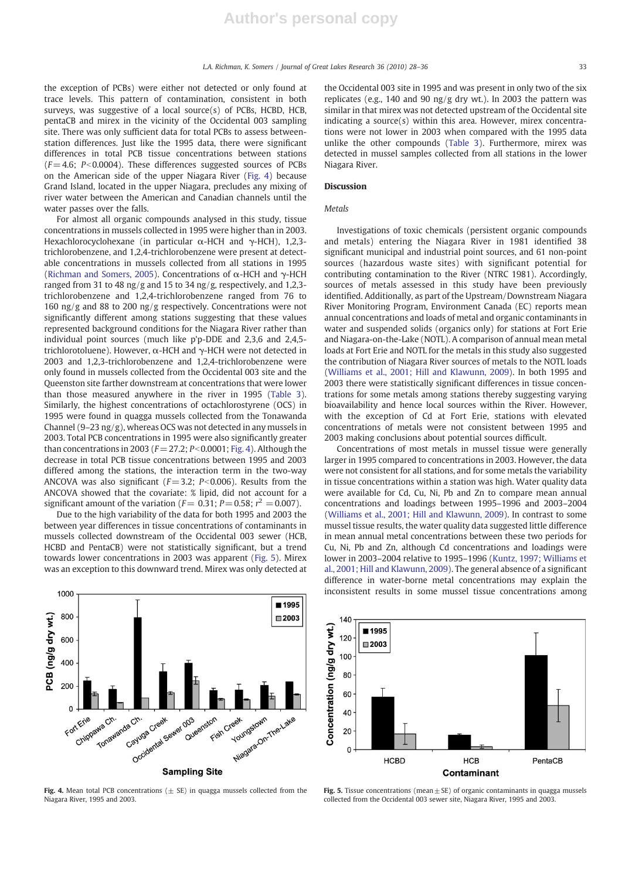the exception of PCBs) were either not detected or only found at trace levels. This pattern of contamination, consistent in both surveys, was suggestive of a local source(s) of PCBs, HCBD, HCB, pentaCB and mirex in the vicinity of the Occidental 003 sampling site. There was only sufficient data for total PCBs to assess betweenstation differences. Just like the 1995 data, there were significant differences in total PCB tissue concentrations between stations  $(F= 4.6; P< 0.0004)$ . These differences suggested sources of PCBs on the American side of the upper Niagara River (Fig. 4) because Grand Island, located in the upper Niagara, precludes any mixing of river water between the American and Canadian channels until the water passes over the falls.

For almost all organic compounds analysed in this study, tissue concentrations in mussels collected in 1995 were higher than in 2003. Hexachlorocyclohexane (in particular α-HCH and γ-HCH), 1,2,3 trichlorobenzene, and 1,2,4-trichlorobenzene were present at detectable concentrations in mussels collected from all stations in 1995 (Richman and Somers, 2005). Concentrations of α-HCH and γ-HCH ranged from 31 to 48 ng/g and 15 to 34 ng/g, respectively, and 1,2,3 trichlorobenzene and 1,2,4-trichlorobenzene ranged from 76 to 160 ng/g and 88 to 200 ng/g respectively. Concentrations were not significantly different among stations suggesting that these values represented background conditions for the Niagara River rather than individual point sources (much like p'p-DDE and 2,3,6 and 2,4,5 trichlorotoluene). However, α-HCH and γ-HCH were not detected in 2003 and 1,2,3-trichlorobenzene and 1,2,4-trichlorobenzene were only found in mussels collected from the Occidental 003 site and the Queenston site farther downstream at concentrations that were lower than those measured anywhere in the river in 1995 (Table 3). Similarly, the highest concentrations of octachlorostyrene (OCS) in 1995 were found in quagga mussels collected from the Tonawanda Channel (9–23 ng/g), whereas OCS was not detected in any mussels in 2003. Total PCB concentrations in 1995 were also significantly greater than concentrations in 2003 ( $F = 27.2$ ;  $P < 0.0001$ ; Fig. 4). Although the decrease in total PCB tissue concentrations between 1995 and 2003 differed among the stations, the interaction term in the two-way ANCOVA was also significant ( $F = 3.2$ ;  $P < 0.006$ ). Results from the ANCOVA showed that the covariate: % lipid, did not account for a significant amount of the variation ( $F = 0.31$ ;  $P = 0.58$ ;  $r^2 = 0.007$ ).

Due to the high variability of the data for both 1995 and 2003 the between year differences in tissue concentrations of contaminants in mussels collected downstream of the Occidental 003 sewer (HCB, HCBD and PentaCB) were not statistically significant, but a trend towards lower concentrations in 2003 was apparent (Fig. 5). Mirex was an exception to this downward trend. Mirex was only detected at the Occidental 003 site in 1995 and was present in only two of the six replicates (e.g., 140 and 90 ng/g dry wt.). In 2003 the pattern was similar in that mirex was not detected upstream of the Occidental site indicating a source(s) within this area. However, mirex concentrations were not lower in 2003 when compared with the 1995 data unlike the other compounds (Table 3). Furthermore, mirex was detected in mussel samples collected from all stations in the lower Niagara River.

# Discussion

### Metals

Investigations of toxic chemicals (persistent organic compounds and metals) entering the Niagara River in 1981 identified 38 significant municipal and industrial point sources, and 61 non-point sources (hazardous waste sites) with significant potential for contributing contamination to the River (NTRC 1981). Accordingly, sources of metals assessed in this study have been previously identified. Additionally, as part of the Upstream/Downstream Niagara River Monitoring Program, Environment Canada (EC) reports mean annual concentrations and loads of metal and organic contaminants in water and suspended solids (organics only) for stations at Fort Erie and Niagara-on-the-Lake (NOTL). A comparison of annual mean metal loads at Fort Erie and NOTL for the metals in this study also suggested the contribution of Niagara River sources of metals to the NOTL loads (Williams et al., 2001; Hill and Klawunn, 2009). In both 1995 and 2003 there were statistically significant differences in tissue concentrations for some metals among stations thereby suggesting varying bioavailability and hence local sources within the River. However, with the exception of Cd at Fort Erie, stations with elevated concentrations of metals were not consistent between 1995 and 2003 making conclusions about potential sources difficult.

Concentrations of most metals in mussel tissue were generally larger in 1995 compared to concentrations in 2003. However, the data were not consistent for all stations, and for some metals the variability in tissue concentrations within a station was high. Water quality data were available for Cd, Cu, Ni, Pb and Zn to compare mean annual concentrations and loadings between 1995–1996 and 2003–2004 (Williams et al., 2001; Hill and Klawunn, 2009). In contrast to some mussel tissue results, the water quality data suggested little difference in mean annual metal concentrations between these two periods for Cu, Ni, Pb and Zn, although Cd concentrations and loadings were lower in 2003–2004 relative to 1995–1996 (Kuntz, 1997; Williams et al., 2001; Hill and Klawunn, 2009). The general absence of a significant difference in water-borne metal concentrations may explain the inconsistent results in some mussel tissue concentrations among



Fig. 4. Mean total PCB concentrations ( $\pm$  SE) in quagga mussels collected from the Niagara River, 1995 and 2003.



Fig. 5. Tissue concentrations (mean  $\pm$  SE) of organic contaminants in quagga mussels collected from the Occidental 003 sewer site, Niagara River, 1995 and 2003.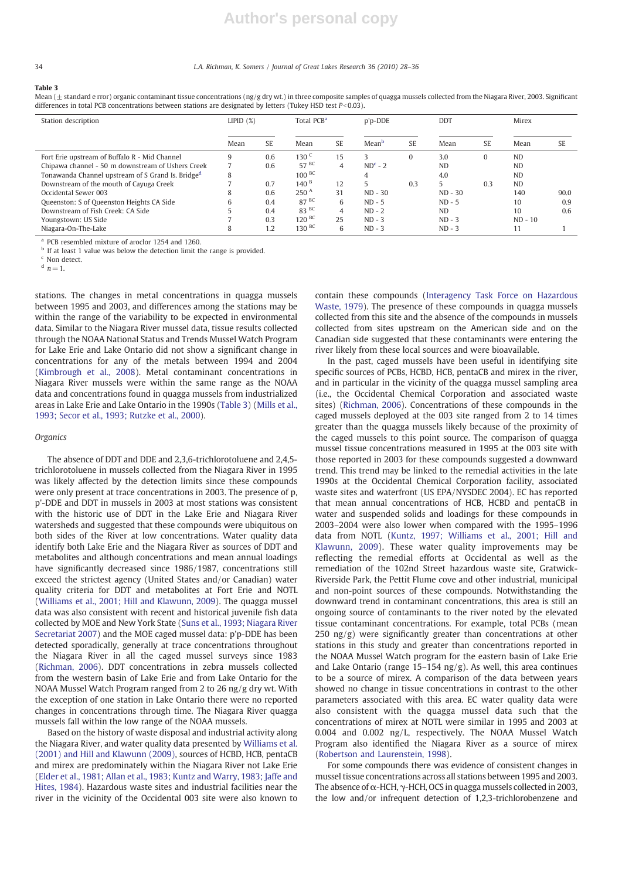#### 34 L.A. Richman, K. Somers / Journal of Great Lakes Research 36 (2010) 28–36

#### Table 3

Mean ( $\pm$  standard e rror) organic contaminant tissue concentrations (ng/g dry wt.) in three composite samples of quagga mussels collected from the Niagara River, 2003. Significant differences in total PCB concentrations between stations are designated by letters (Tukey HSD test  $P<0.03$ ).

| Station description                                           | LIPID(%) |     | Total PCB <sup>a</sup> |    | p'p-DDE           |           | <b>DDT</b> |           | Mirex         |           |
|---------------------------------------------------------------|----------|-----|------------------------|----|-------------------|-----------|------------|-----------|---------------|-----------|
|                                                               | Mean     | SE  | Mean                   | SE | Mean <sup>b</sup> | <b>SE</b> | Mean       | <b>SE</b> | Mean          | <b>SE</b> |
| Fort Erie upstream of Buffalo R - Mid Channel                 | 9        | 0.6 | 130 <sup>C</sup>       | 15 | 3                 | $\Omega$  | 3.0        | $\Omega$  | <sub>ND</sub> |           |
| Chipawa channel - 50 m downstream of Ushers Creek             |          | 0.6 | $57^{BC}$              | 4  | $NDc - 2$         |           | <b>ND</b>  |           | <sub>ND</sub> |           |
| Tonawanda Channel upstream of S Grand Is, Bridge <sup>d</sup> | 8        |     | $100^{BC}$             |    |                   |           | 4.0        |           | <b>ND</b>     |           |
| Downstream of the mouth of Cayuga Creek                       |          | 0.7 | 140 <sup>B</sup>       | 12 | 5                 | 0.3       | 5          | 0.3       | <b>ND</b>     |           |
| Occidental Sewer 003                                          | 8        | 0.6 | 250 <sup>A</sup>       | 31 | $ND - 30$         |           | $ND - 30$  |           | 140           | 90.0      |
| Queenston: S of Queenston Heights CA Side                     | b        | 0.4 | 87 <sup>BC</sup>       | 6  | $ND - 5$          |           | $ND - 5$   |           | 10            | 0.9       |
| Downstream of Fish Creek: CA Side                             |          | 0.4 | 83 BC                  | 4  | $ND - 2$          |           | ND.        |           | 10            | 0.6       |
| Youngstown: US Side                                           |          | 0.3 | $120^{BC}$             | 25 | $ND - 3$          |           | $ND - 3$   |           | $ND - 10$     |           |
| Niagara-On-The-Lake                                           | 8        | 1.2 | $130^{BC}$             | 6  | $ND - 3$          |           | $ND - 3$   |           | 11            |           |

<sup>a</sup> PCB resembled mixture of aroclor 1254 and 1260.

**b** If at least 1 value was below the detection limit the range is provided.

<sup>c</sup> Non detect.

 $d$   $n = 1$ .

stations. The changes in metal concentrations in quagga mussels between 1995 and 2003, and differences among the stations may be within the range of the variability to be expected in environmental data. Similar to the Niagara River mussel data, tissue results collected through the NOAA National Status and Trends Mussel Watch Program for Lake Erie and Lake Ontario did not show a significant change in concentrations for any of the metals between 1994 and 2004 (Kimbrough et al., 2008). Metal contaminant concentrations in Niagara River mussels were within the same range as the NOAA data and concentrations found in quagga mussels from industrialized areas in Lake Erie and Lake Ontario in the 1990s (Table 3) (Mills et al., 1993; Secor et al., 1993; Rutzke et al., 2000).

### **Organics**

The absence of DDT and DDE and 2,3,6-trichlorotoluene and 2,4,5 trichlorotoluene in mussels collected from the Niagara River in 1995 was likely affected by the detection limits since these compounds were only present at trace concentrations in 2003. The presence of p, p'-DDE and DDT in mussels in 2003 at most stations was consistent with the historic use of DDT in the Lake Erie and Niagara River watersheds and suggested that these compounds were ubiquitous on both sides of the River at low concentrations. Water quality data identify both Lake Erie and the Niagara River as sources of DDT and metabolites and although concentrations and mean annual loadings have significantly decreased since 1986/1987, concentrations still exceed the strictest agency (United States and/or Canadian) water quality criteria for DDT and metabolites at Fort Erie and NOTL (Williams et al., 2001; Hill and Klawunn, 2009). The quagga mussel data was also consistent with recent and historical juvenile fish data collected by MOE and New York State (Suns et al., 1993; Niagara River Secretariat 2007) and the MOE caged mussel data: p'p-DDE has been detected sporadically, generally at trace concentrations throughout the Niagara River in all the caged mussel surveys since 1983 (Richman, 2006). DDT concentrations in zebra mussels collected from the western basin of Lake Erie and from Lake Ontario for the NOAA Mussel Watch Program ranged from 2 to 26 ng/g dry wt. With the exception of one station in Lake Ontario there were no reported changes in concentrations through time. The Niagara River quagga mussels fall within the low range of the NOAA mussels.

Based on the history of waste disposal and industrial activity along the Niagara River, and water quality data presented by Williams et al. (2001) and Hill and Klawunn (2009), sources of HCBD, HCB, pentaCB and mirex are predominately within the Niagara River not Lake Erie (Elder et al., 1981; Allan et al., 1983; Kuntz and Warry, 1983; Jaffe and Hites, 1984). Hazardous waste sites and industrial facilities near the river in the vicinity of the Occidental 003 site were also known to contain these compounds (Interagency Task Force on Hazardous Waste, 1979). The presence of these compounds in quagga mussels collected from this site and the absence of the compounds in mussels collected from sites upstream on the American side and on the Canadian side suggested that these contaminants were entering the river likely from these local sources and were bioavailable.

In the past, caged mussels have been useful in identifying site specific sources of PCBs, HCBD, HCB, pentaCB and mirex in the river, and in particular in the vicinity of the quagga mussel sampling area (i.e., the Occidental Chemical Corporation and associated waste sites) (Richman, 2006). Concentrations of these compounds in the caged mussels deployed at the 003 site ranged from 2 to 14 times greater than the quagga mussels likely because of the proximity of the caged mussels to this point source. The comparison of quagga mussel tissue concentrations measured in 1995 at the 003 site with those reported in 2003 for these compounds suggested a downward trend. This trend may be linked to the remedial activities in the late 1990s at the Occidental Chemical Corporation facility, associated waste sites and waterfront (US EPA/NYSDEC 2004). EC has reported that mean annual concentrations of HCB, HCBD and pentaCB in water and suspended solids and loadings for these compounds in 2003–2004 were also lower when compared with the 1995–1996 data from NOTL (Kuntz, 1997; Williams et al., 2001; Hill and Klawunn, 2009). These water quality improvements may be reflecting the remedial efforts at Occidental as well as the remediation of the 102nd Street hazardous waste site, Gratwick-Riverside Park, the Pettit Flume cove and other industrial, municipal and non-point sources of these compounds. Notwithstanding the downward trend in contaminant concentrations, this area is still an ongoing source of contaminants to the river noted by the elevated tissue contaminant concentrations. For example, total PCBs (mean  $250 \text{ ng/g}$  were significantly greater than concentrations at other stations in this study and greater than concentrations reported in the NOAA Mussel Watch program for the eastern basin of Lake Erie and Lake Ontario (range 15–154 ng/g). As well, this area continues to be a source of mirex. A comparison of the data between years showed no change in tissue concentrations in contrast to the other parameters associated with this area. EC water quality data were also consistent with the quagga mussel data such that the concentrations of mirex at NOTL were similar in 1995 and 2003 at 0.004 and 0.002 ng/L, respectively. The NOAA Mussel Watch Program also identified the Niagara River as a source of mirex (Robertson and Laurenstein, 1998).

For some compounds there was evidence of consistent changes in mussel tissue concentrations across all stations between 1995 and 2003. The absence of α-HCH, γ-HCH, OCS in quagga mussels collected in 2003, the low and/or infrequent detection of 1,2,3-trichlorobenzene and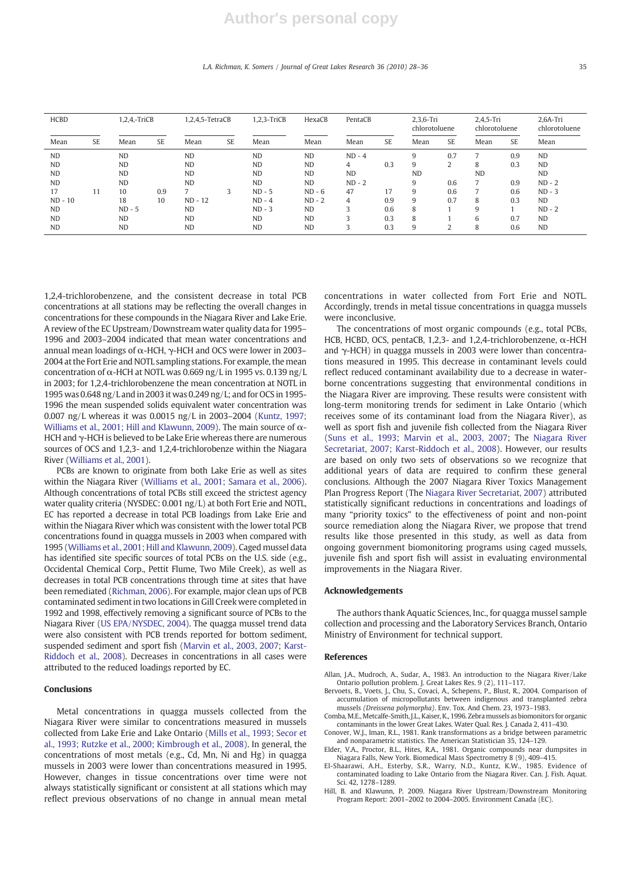#### L.A. Richman, K. Somers / Journal of Great Lakes Research 36 (2010) 28–36 35

| <b>HCBD</b> |           | 1,2,4,-TriCB |           | $1.2.4.5$ -TetraCB |           | $1.2.3 - TriCB$ | HexaCB    | PentaCB   |           | 2.3.6-Tri<br>chlorotoluene |               | $2,4,5-Tri$<br>chlorotoluene |           | $2.6A-Tri$<br>chlorotoluene |  |
|-------------|-----------|--------------|-----------|--------------------|-----------|-----------------|-----------|-----------|-----------|----------------------------|---------------|------------------------------|-----------|-----------------------------|--|
| Mean        | <b>SE</b> | Mean         | <b>SE</b> | Mean               | <b>SE</b> | Mean            | Mean      | Mean      | <b>SE</b> | Mean                       | <b>SE</b>     | Mean                         | <b>SE</b> | Mean                        |  |
| <b>ND</b>   |           | <b>ND</b>    |           | <b>ND</b>          |           | <b>ND</b>       | <b>ND</b> | $ND - 4$  |           | 9                          | 0.7           |                              | 0.9       | <b>ND</b>                   |  |
| <b>ND</b>   |           | <b>ND</b>    |           | <b>ND</b>          |           | <b>ND</b>       | <b>ND</b> | 4         | 0.3       | 9                          | 2             | 8                            | 0.3       | <b>ND</b>                   |  |
| <b>ND</b>   |           | <b>ND</b>    |           | <b>ND</b>          |           | <b>ND</b>       | <b>ND</b> | <b>ND</b> |           | <b>ND</b>                  |               | <b>ND</b>                    |           | <b>ND</b>                   |  |
| <b>ND</b>   |           | <b>ND</b>    |           | <b>ND</b>          |           | <b>ND</b>       | <b>ND</b> | $ND - 2$  |           | 9                          | 0.6           | ⇁                            | 0.9       | $ND - 2$                    |  |
| 17          | 11        | 10           | 0.9       |                    | ς         | $ND - 5$        | $ND - 6$  | 47        | 17        | 9                          | 0.6           |                              | 0.6       | $ND - 3$                    |  |
| $ND - 10$   |           | 18           | 10        | $ND - 12$          |           | $ND - 4$        | $ND - 2$  | 4         | 0.9       | 9                          | 0.7           | 8                            | 0.3       | <b>ND</b>                   |  |
| <b>ND</b>   |           | $ND - 5$     |           | <b>ND</b>          |           | $ND - 3$        | <b>ND</b> |           | 0.6       | 8                          |               | 9                            |           | $ND - 2$                    |  |
| <b>ND</b>   |           | ND.          |           | <b>ND</b>          |           | <b>ND</b>       | <b>ND</b> |           | 0.3       | 8                          |               | 6                            | 0.7       | <b>ND</b>                   |  |
| <b>ND</b>   |           | <b>ND</b>    |           | <b>ND</b>          |           | <b>ND</b>       | <b>ND</b> |           | 0.3       | 9                          | $\mathcal{L}$ | 8                            | 0.6       | <b>ND</b>                   |  |

1,2,4-trichlorobenzene, and the consistent decrease in total PCB concentrations at all stations may be reflecting the overall changes in concentrations for these compounds in the Niagara River and Lake Erie. A review of the EC Upstream/Downstream water quality data for 1995– 1996 and 2003–2004 indicated that mean water concentrations and annual mean loadings of α-HCH, γ-HCH and OCS were lower in 2003– 2004 at the Fort Erie and NOTL sampling stations. For example, the mean concentration of  $\alpha$ -HCH at NOTL was 0.669 ng/L in 1995 vs. 0.139 ng/L in 2003; for 1,2,4-trichlorobenzene the mean concentration at NOTL in 1995 was 0.648 ng/L and in 2003 it was 0.249 ng/L; and for OCS in 1995- 1996 the mean suspended solids equivalent water concentration was 0.007 ng/L whereas it was 0.0015 ng/L in 2003–2004 (Kuntz, 1997; Williams et al., 2001; Hill and Klawunn, 2009). The main source of α-HCH and  $\gamma$ -HCH is believed to be Lake Erie whereas there are numerous sources of OCS and 1,2,3- and 1,2,4-trichlorobenze within the Niagara River (Williams et al., 2001).

PCBs are known to originate from both Lake Erie as well as sites within the Niagara River (Williams et al., 2001; Samara et al., 2006). Although concentrations of total PCBs still exceed the strictest agency water quality criteria (NYSDEC: 0.001 ng/L) at both Fort Erie and NOTL, EC has reported a decrease in total PCB loadings from Lake Erie and within the Niagara River which was consistent with the lower total PCB concentrations found in quagga mussels in 2003 when compared with 1995 (Williams et al., 2001; Hill and Klawunn, 2009). Caged mussel data has identified site specific sources of total PCBs on the U.S. side (e.g., Occidental Chemical Corp., Pettit Flume, Two Mile Creek), as well as decreases in total PCB concentrations through time at sites that have been remediated (Richman, 2006). For example, major clean ups of PCB contaminated sediment in two locations in Gill Creek were completed in 1992 and 1998, effectively removing a significant source of PCBs to the Niagara River (US EPA/NYSDEC, 2004). The quagga mussel trend data were also consistent with PCB trends reported for bottom sediment, suspended sediment and sport fish (Marvin et al., 2003, 2007; Karst-Riddoch et al., 2008). Decreases in concentrations in all cases were attributed to the reduced loadings reported by EC.

### Conclusions

Metal concentrations in quagga mussels collected from the Niagara River were similar to concentrations measured in mussels collected from Lake Erie and Lake Ontario (Mills et al., 1993; Secor et al., 1993; Rutzke et al., 2000; Kimbrough et al., 2008). In general, the concentrations of most metals (e.g., Cd, Mn, Ni and Hg) in quagga mussels in 2003 were lower than concentrations measured in 1995. However, changes in tissue concentrations over time were not always statistically significant or consistent at all stations which may reflect previous observations of no change in annual mean metal concentrations in water collected from Fort Erie and NOTL. Accordingly, trends in metal tissue concentrations in quagga mussels were inconclusive.

The concentrations of most organic compounds (e.g., total PCBs, HCB, HCBD, OCS, pentaCB, 1,2,3- and 1,2,4-trichlorobenzene, α-HCH and  $\gamma$ -HCH) in quagga mussels in 2003 were lower than concentrations measured in 1995. This decrease in contaminant levels could reflect reduced contaminant availability due to a decrease in waterborne concentrations suggesting that environmental conditions in the Niagara River are improving. These results were consistent with long-term monitoring trends for sediment in Lake Ontario (which receives some of its contaminant load from the Niagara River), as well as sport fish and juvenile fish collected from the Niagara River (Suns et al., 1993; Marvin et al., 2003, 2007; The Niagara River Secretariat, 2007; Karst-Riddoch et al., 2008). However, our results are based on only two sets of observations so we recognize that additional years of data are required to confirm these general conclusions. Although the 2007 Niagara River Toxics Management Plan Progress Report (The Niagara River Secretariat, 2007) attributed statistically significant reductions in concentrations and loadings of many "priority toxics" to the effectiveness of point and non-point source remediation along the Niagara River, we propose that trend results like those presented in this study, as well as data from ongoing government biomonitoring programs using caged mussels, juvenile fish and sport fish will assist in evaluating environmental improvements in the Niagara River.

### Acknowledgements

The authors thank Aquatic Sciences, Inc., for quagga mussel sample collection and processing and the Laboratory Services Branch, Ontario Ministry of Environment for technical support.

### References

- Allan, J.A., Mudroch, A., Sudar, A., 1983. An introduction to the Niagara River/Lake Ontario pollution problem. J. Great Lakes Res. 9 (2), 111–117.
- Bervoets, B., Voets, J., Chu, S., Covaci, A., Schepens, P., Blust, R., 2004. Comparison of accumulation of micropollutants between indigenous and transplanted zebra mussels (Dreissena polymorpha). Env. Tox. And Chem. 23, 1973–1983.
- Comba, M.E., Metcalfe-Smith, J.L., Kaiser, K., 1996. Zebramussels as biomonitors for organic contaminants in the lower Great Lakes. Water Qual. Res. J. Canada 2, 411–430.
- Conover, W.J., Iman, R.L., 1981. Rank transformations as a bridge between parametric and nonparametric statistics. The American Statistician 35, 124–129.
- Elder, V.A., Proctor, B.L., Hites, R.A., 1981. Organic compounds near dumpsites in Niagara Falls, New York. Biomedical Mass Spectrometry 8 (9), 409–415.
- El-Shaarawi, A.H., Esterby, S.R., Warry, N.D., Kuntz, K.W., 1985. Evidence of contaminated loading to Lake Ontario from the Niagara River. Can. J. Fish. Aquat. Sci. 42, 1278–1289.
- Hill, B. and Klawunn, P. 2009. Niagara River Upstream/Downstream Monitoring Program Report: 2001–2002 to 2004–2005. Environment Canada (EC).